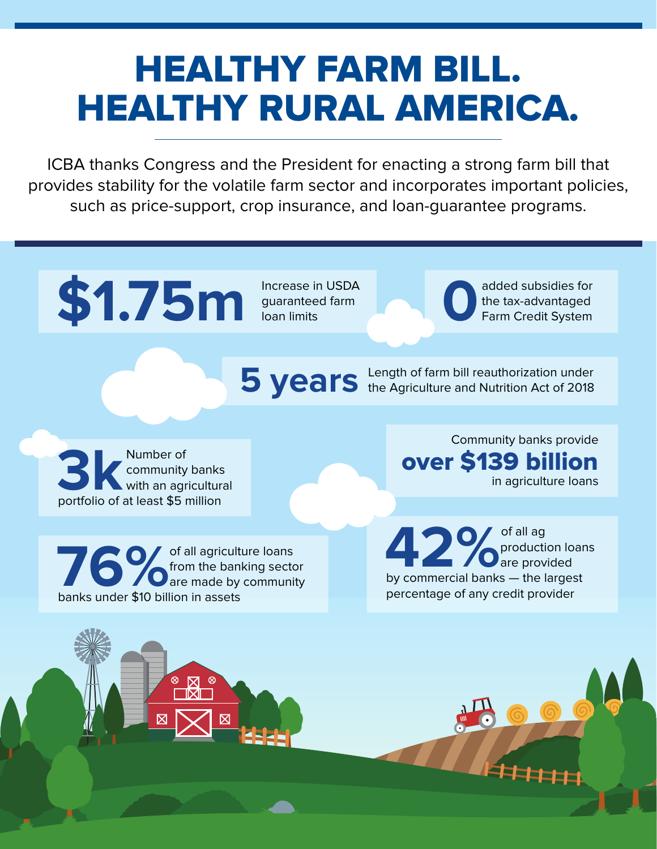## HEALTHY FARM BILL. HEALTHY RURAL AMERICA.

ICBA thanks Congress and the President for enacting a strong farm bill that provides stability for the volatile farm sector and incorporates important policies, such as price-support, crop insurance, and loan-guarantee programs.

## **\$1.75m** Increase in USDA<br>Increase in USDA<br>Ioan limits

guaranteed farm loan limits

added subsidies for<br>the tax-advantaged<br>Farm Credit System the tax-advantaged Farm Credit System

**5 years** Length of farm bill reauthorization under<br>
the Agriculture and Nutrition Act of 2018

**3k** Number of community banks<br>
portfolio of at least \$5 million community banks with an agricultural

**76 Conserved Avis and Avis and Avis and Avis and Avis and Avis and Avis and Avis and Avis and Avis and Avis and Avis and Avis and Avis and Avis and Avis and Avis and Avis and Avis and Avis and Avis and Avis and Avis and A** from the banking sector **O** are made by community banks under \$10 billion in assets

Community banks provide over \$139 billion in agriculture loans

**42%**<br>**by commercial banks** — the largest production loans are provided percentage of any credit provider